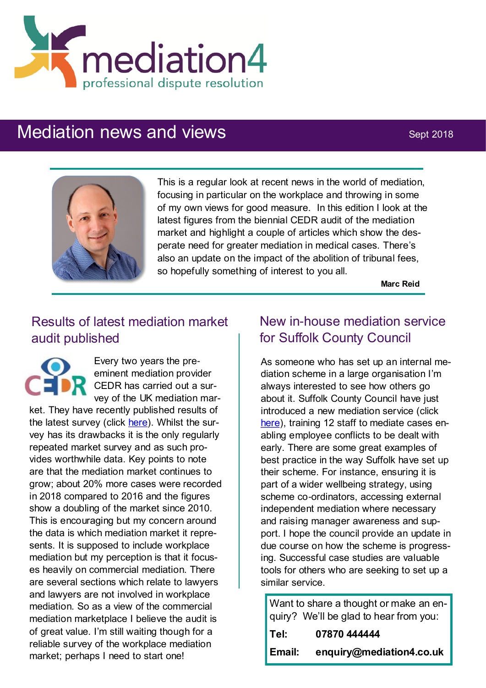

# Mediation news and views Sept 2018



This is a regular look at recent news in the world of mediation, focusing in particular on the workplace and throwing in some of my own views for good measure. In this edition I look at the latest figures from the biennial CEDR audit of the mediation market and highlight a couple of articles which show the desperate need for greater mediation in medical cases. There's also an update on the impact of the abolition of tribunal fees, so hopefully something of interest to you all.

**Marc Reid**

# Results of latest mediation market audit published

Every two years the preeminent mediation provider CEDR has carried out a survey of the UK mediation mar-

ket. They have recently published results of the latest survey (click [here\).](https://www.cedr.com/news/?item=Commercial-Mediation-Market-growth-shoots-up-by-20-percent) Whilst the survey has its drawbacks it is the only regularly repeated market survey and as such provides worthwhile data. Key points to note are that the mediation market continues to grow; about 20% more cases were recorded in 2018 compared to 2016 and the figures show a doubling of the market since 2010. This is encouraging but my concern around the data is which mediation market it represents. It is supposed to include workplace mediation but my perception is that it focuses heavily on commercial mediation. There are several sections which relate to lawyers and lawyers are not involved in workplace mediation. So as a view of the commercial mediation marketplace I believe the audit is of great value. I'm still waiting though for a reliable survey of the workplace mediation market; perhaps I need to start one!

# New in-house mediation service for Suffolk County Council

As someone who has set up an internal mediation scheme in a large organisation I'm always interested to see how others go about it. Suffolk County Council have just introduced a new mediation service (click [here\)](https://www.localgov.co.uk/In-house-mediation-service-at-Suffolk/45722), training 12 staff to mediate cases enabling employee conflicts to be dealt with early. There are some great examples of best practice in the way Suffolk have set up their scheme. For instance, ensuring it is part of a wider wellbeing strategy, using scheme co-ordinators, accessing external independent mediation where necessary and raising manager awareness and support. I hope the council provide an update in due course on how the scheme is progressing. Successful case studies are valuable tools for others who are seeking to set up a similar service.

Want to share a thought or make an enquiry? We'll be glad to hear from you: **Tel: 07870 444444**

| Email: | enquiry@mediation4.co.uk |
|--------|--------------------------|
|        |                          |